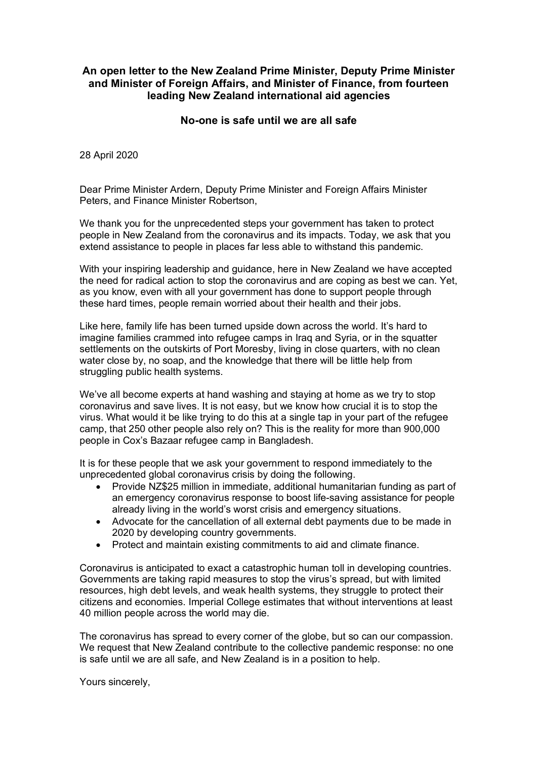## **An open letter to the New Zealand Prime Minister, Deputy Prime Minister and Minister of Foreign Affairs, and Minister of Finance, from fourteen leading New Zealand international aid agencies**

## **No-one is safe until we are all safe**

28 April 2020

Dear Prime Minister Ardern, Deputy Prime Minister and Foreign Affairs Minister Peters, and Finance Minister Robertson,

We thank you for the unprecedented steps your government has taken to protect people in New Zealand from the coronavirus and its impacts. Today, we ask that you extend assistance to people in places far less able to withstand this pandemic.

With your inspiring leadership and guidance, here in New Zealand we have accepted the need for radical action to stop the coronavirus and are coping as best we can. Yet, as you know, even with all your government has done to support people through these hard times, people remain worried about their health and their jobs.

Like here, family life has been turned upside down across the world. It's hard to imagine families crammed into refugee camps in Iraq and Syria, or in the squatter settlements on the outskirts of Port Moresby, living in close quarters, with no clean water close by, no soap, and the knowledge that there will be little help from struggling public health systems.

We've all become experts at hand washing and staying at home as we try to stop coronavirus and save lives. It is not easy, but we know how crucial it is to stop the virus. What would it be like trying to do this at a single tap in your part of the refugee camp, that 250 other people also rely on? This is the reality for more than 900,000 people in Cox's Bazaar refugee camp in Bangladesh.

It is for these people that we ask your government to respond immediately to the unprecedented global coronavirus crisis by doing the following.

- Provide NZ\$25 million in immediate, additional humanitarian funding as part of an emergency coronavirus response to boost life-saving assistance for people already living in the world's worst crisis and emergency situations.
- Advocate for the cancellation of all external debt payments due to be made in 2020 by developing country governments.
- Protect and maintain existing commitments to aid and climate finance.

Coronavirus is anticipated to exact a catastrophic human toll in developing countries. Governments are taking rapid measures to stop the virus's spread, but with limited resources, high debt levels, and weak health systems, they struggle to protect their citizens and economies. Imperial College estimates that without interventions at least 40 million people across the world may die.

The coronavirus has spread to every corner of the globe, but so can our compassion. We request that New Zealand contribute to the collective pandemic response: no one is safe until we are all safe, and New Zealand is in a position to help.

Yours sincerely,